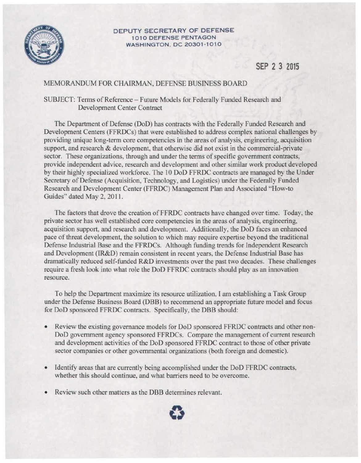

## DEPUTY SECRETARY OF DEFENSE 1010 DEFENSE PENTAGON WASHINGTON, DC 20301-1010

## **SEP 2 3 2015**

## MEMORANDUM FOR CHAIRMAN, DEFENSE BUSINESS BOARD

## SUBJECT: Terms of Reference - Future Models for Federally Funded Research and Development Center Contract

The Department of Defense (DoD) has contracts with the Federally Funded Research and Development Centers (FFRDCs) that were established to address complex national challenges by providing unique long-term core competencies in the areas of analysis, engineering, acquisition support, and research & development, that otherwise did not exist in the commercial-private sector. These organizations, through and under the terms of specific government contracts, provide independent advice, research and development and other similar work product developed by their highly specialized workforce. The 10 DoD FFRDC contracts are managed by the Under Secretary of Defense (Acquisition, Technology, and Logistics) under the Federally Funded Research and Development Center (FFRDC) Management Plan and Associated "How-to Guides" dated May 2, 2011.

The factors that drove the creation of FFRDC contracts have changed over time. Today, the private sector bas well established core competencies in the areas of analysis, engineering, acquisition support, and research and development. Additionally, the DoD faces an enhanced pace of threat development, the solution to which may require expertise beyond the traditional Defense Industrial Base and the FFRDCs. Although funding trends for Independent Research and Development (IR&D) remain consistent in recent years, the Defense Industrial Base has dramatically reduced self-funded R&D investments over the past two decades. These challenges require a fresh look into what role the DoD FFRDC contracts should play as an innovation resource.

To help the Department maximize its resource utilization, I am establishing a Task Group under the Defense Business Board (DBB) to recommend an appropriate future model and focus for DoD sponsored FFRDC contracts. Specifically, the DBB should:

- Review the existing governance models for DoD sponsored FFRDC contracts and other non-DoD government agency sponsored FFRDCs. Compare the management of current research and development activities of the DoD sponsored FFRDC contract to those of other private sector companies or other governmental organizations (both foreign and domestic).
- identify areas that are currently being accomplished under the DoD FFRDC contracts, whether this should continue, and what barriers need to be overcome.
- Review such other matters as the DBB determines relevant.